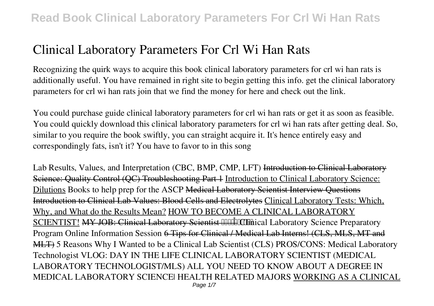Recognizing the quirk ways to acquire this book **clinical laboratory parameters for crl wi han rats** is additionally useful. You have remained in right site to begin getting this info. get the clinical laboratory parameters for crl wi han rats join that we find the money for here and check out the link.

You could purchase guide clinical laboratory parameters for crl wi han rats or get it as soon as feasible. You could quickly download this clinical laboratory parameters for crl wi han rats after getting deal. So, similar to you require the book swiftly, you can straight acquire it. It's hence entirely easy and correspondingly fats, isn't it? You have to favor to in this song

Lab Results, Values, and Interpretation *(CBC, BMP, CMP, LFT)* Introduction to Clinical Laboratory Science: Quality Control (QC) Troubleshooting Part 1 Introduction to Clinical Laboratory Science: Dilutions *Books to help prep for the ASCP* Medical Laboratory Scientist Interview Questions Introduction to Clinical Lab Values: Blood Cells and Electrolytes Clinical Laboratory Tests: Which, Why, and What do the Results Mean? HOW TO BECOME A CLINICAL LABORATORY SCIENTIST! MY JOB: Clinical Laboratory Scientist *COLIDACCO CONTIGERTY Science Preparatory Program Online Information Session* 6 Tips for Clinical / Medical Lab Interns! (CLS, MLS, MT and MLT) 5 Reasons Why I Wanted to be a Clinical Lab Scientist (CLS) **PROS/CONS: Medical Laboratory Technologist VLOG: DAY IN THE LIFE CLINICAL LABORATORY SCIENTIST (MEDICAL LABORATORY TECHNOLOGIST/MLS)** *ALL YOU NEED TO KNOW ABOUT A DEGREE IN MEDICAL LABORATORY SCIENCE| HEALTH RELATED MAJORS* WORKING AS A CLINICAL Page 1/7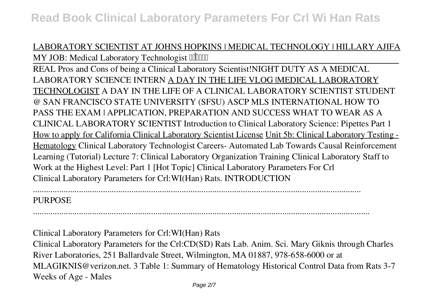## LABORATORY SCIENTIST AT JOHNS HOPKINS | MEDICAL TECHNOLOGY | HILLARY AJIFA *MY JOB: Medical Laboratory Technologist*  $\Box$

REAL Pros and Cons of being a Clinical Laboratory Scientist!*NIGHT DUTY AS A MEDICAL LABORATORY SCIENCE INTERN* A DAY IN THE LIFE VLOG |MEDICAL LABORATORY TECHNOLOGIST *A DAY IN THE LIFE OF A CLINICAL LABORATORY SCIENTIST STUDENT @ SAN FRANCISCO STATE UNIVERSITY (SFSU) ASCP MLS INTERNATIONAL HOW TO PASS THE EXAM | APPLICATION, PREPARATION AND SUCCESS WHAT TO WEAR AS A CLINICAL LABORATORY SCIENTIST Introduction to Clinical Laboratory Science: Pipettes Part 1* How to apply for California Clinical Laboratory Scientist License Unit 5b: Clinical Laboratory Testing - Hematology *Clinical Laboratory Technologist Careers- Automated Lab* Towards Causal Reinforcement Learning (Tutorial) **Lecture 7: Clinical Laboratory Organization Training Clinical Laboratory Staff to Work at the Highest Level: Part 1 [Hot Topic]** *Clinical Laboratory Parameters For Crl* Clinical Laboratory Parameters for Crl:WI(Han) Rats. INTRODUCTION

#### ...................................................................................................................................................... **PURPOSE**

*Clinical Laboratory Parameters for Crl:WI(Han) Rats* Clinical Laboratory Parameters for the Crl:CD(SD) Rats Lab. Anim. Sci. Mary Giknis through Charles River Laboratories, 251 Ballardvale Street, Wilmington, MA 01887, 978-658-6000 or at MLAGIKNIS@verizon.net. 3 Table 1: Summary of Hematology Historical Control Data from Rats 3-7 Weeks of Age - Males

..........................................................................................................................................................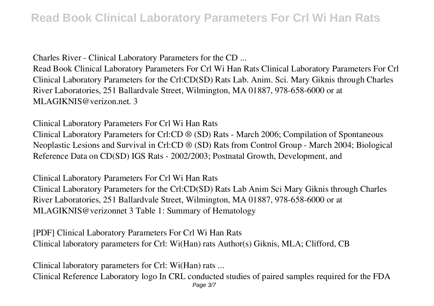*Charles River - Clinical Laboratory Parameters for the CD ...*

Read Book Clinical Laboratory Parameters For Crl Wi Han Rats Clinical Laboratory Parameters For Crl Clinical Laboratory Parameters for the Crl:CD(SD) Rats Lab. Anim. Sci. Mary Giknis through Charles River Laboratories, 251 Ballardvale Street, Wilmington, MA 01887, 978-658-6000 or at MLAGIKNIS@verizon.net. 3

*Clinical Laboratory Parameters For Crl Wi Han Rats* Clinical Laboratory Parameters for Crl:CD ® (SD) Rats - March 2006; Compilation of Spontaneous Neoplastic Lesions and Survival in Crl:CD ® (SD) Rats from Control Group - March 2004; Biological Reference Data on CD(SD) IGS Rats - 2002/2003; Postnatal Growth, Development, and

*Clinical Laboratory Parameters For Crl Wi Han Rats* Clinical Laboratory Parameters for the Crl:CD(SD) Rats Lab Anim Sci Mary Giknis through Charles River Laboratories, 251 Ballardvale Street, Wilmington, MA 01887, 978-658-6000 or at MLAGIKNIS@verizonnet 3 Table 1: Summary of Hematology

*[PDF] Clinical Laboratory Parameters For Crl Wi Han Rats* Clinical laboratory parameters for Crl: Wi(Han) rats Author(s) Giknis, MLA; Clifford, CB

*Clinical laboratory parameters for Crl: Wi(Han) rats ...* Clinical Reference Laboratory logo In CRL conducted studies of paired samples required for the FDA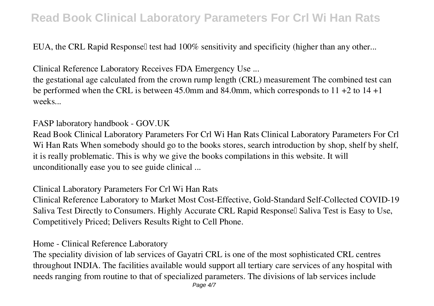EUA, the CRL Rapid Responsel test had 100% sensitivity and specificity (higher than any other...

*Clinical Reference Laboratory Receives FDA Emergency Use ...*

the gestational age calculated from the crown rump length (CRL) measurement The combined test can be performed when the CRL is between 45.0mm and 84.0mm, which corresponds to 11 +2 to 14 +1 weeks...

### *FASP laboratory handbook - GOV.UK*

Read Book Clinical Laboratory Parameters For Crl Wi Han Rats Clinical Laboratory Parameters For Crl Wi Han Rats When somebody should go to the books stores, search introduction by shop, shelf by shelf, it is really problematic. This is why we give the books compilations in this website. It will unconditionally ease you to see guide clinical ...

### *Clinical Laboratory Parameters For Crl Wi Han Rats*

Clinical Reference Laboratory to Market Most Cost-Effective, Gold-Standard Self-Collected COVID-19 Saliva Test Directly to Consumers. Highly Accurate CRL Rapid Response∏ Saliva Test is Easy to Use, Competitively Priced; Delivers Results Right to Cell Phone.

#### *Home - Clinical Reference Laboratory*

The speciality division of lab services of Gayatri CRL is one of the most sophisticated CRL centres throughout INDIA. The facilities available would support all tertiary care services of any hospital with needs ranging from routine to that of specialized parameters. The divisions of lab services include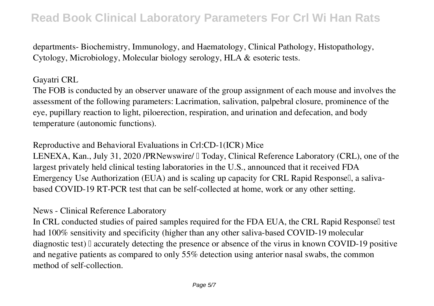departments- Biochemistry, Immunology, and Haematology, Clinical Pathology, Histopathology, Cytology, Microbiology, Molecular biology serology, HLA & esoteric tests.

### *Gayatri CRL*

The FOB is conducted by an observer unaware of the group assignment of each mouse and involves the assessment of the following parameters: Lacrimation, salivation, palpebral closure, prominence of the eye, pupillary reaction to light, piloerection, respiration, and urination and defecation, and body temperature (autonomic functions).

*Reproductive and Behavioral Evaluations in Crl:CD-1(ICR) Mice*

LENEXA, Kan., July 31, 2020 /PRNewswire/  $\mathbb I$  Today, Clinical Reference Laboratory (CRL), one of the largest privately held clinical testing laboratories in the U.S., announced that it received FDA Emergency Use Authorization (EUA) and is scaling up capacity for CRL Rapid Responsell, a salivabased COVID-19 RT-PCR test that can be self-collected at home, work or any other setting.

### *News - Clinical Reference Laboratory*

In CRL conducted studies of paired samples required for the FDA EUA, the CRL Rapid Responsell test had 100% sensitivity and specificity (higher than any other saliva-based COVID-19 molecular diagnostic test) I accurately detecting the presence or absence of the virus in known COVID-19 positive and negative patients as compared to only 55% detection using anterior nasal swabs, the common method of self-collection.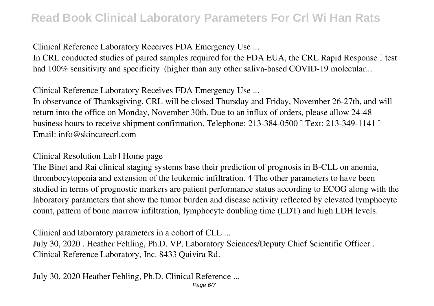*Clinical Reference Laboratory Receives FDA Emergency Use ...*

In CRL conducted studies of paired samples required for the FDA EUA, the CRL Rapid Response  $\mathbb I$  test had 100% sensitivity and specificity (higher than any other saliva-based COVID-19 molecular...

*Clinical Reference Laboratory Receives FDA Emergency Use ...*

In observance of Thanksgiving, CRL will be closed Thursday and Friday, November 26-27th, and will return into the office on Monday, November 30th. Due to an influx of orders, please allow 24-48 business hours to receive shipment confirmation. Telephone: 213-384-0500  $\Box$  Text: 213-349-1141  $\Box$ Email: info@skincarecrl.com

### *Clinical Resolution Lab | Home page*

The Binet and Rai clinical staging systems base their prediction of prognosis in B-CLL on anemia, thrombocytopenia and extension of the leukemic infiltration. 4 The other parameters to have been studied in terms of prognostic markers are patient performance status according to ECOG along with the laboratory parameters that show the tumor burden and disease activity reflected by elevated lymphocyte count, pattern of bone marrow infiltration, lymphocyte doubling time (LDT) and high LDH levels.

*Clinical and laboratory parameters in a cohort of CLL ...* July 30, 2020 . Heather Fehling, Ph.D. VP, Laboratory Sciences/Deputy Chief Scientific Officer . Clinical Reference Laboratory, Inc. 8433 Quivira Rd.

*July 30, 2020 Heather Fehling, Ph.D. Clinical Reference ...*